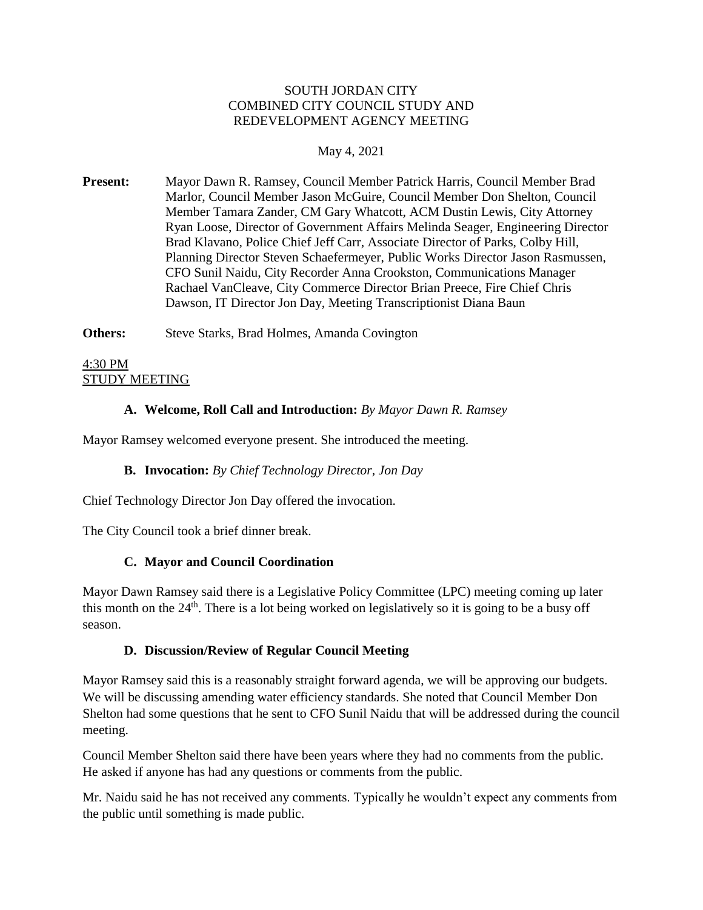#### SOUTH JORDAN CITY COMBINED CITY COUNCIL STUDY AND REDEVELOPMENT AGENCY MEETING

## May 4, 2021

**Present:** Mayor Dawn R. Ramsey, Council Member Patrick Harris, Council Member Brad Marlor, Council Member Jason McGuire, Council Member Don Shelton, Council Member Tamara Zander, CM Gary Whatcott, ACM Dustin Lewis, City Attorney Ryan Loose, Director of Government Affairs Melinda Seager, Engineering Director Brad Klavano, Police Chief Jeff Carr, Associate Director of Parks, Colby Hill, Planning Director Steven Schaefermeyer, Public Works Director Jason Rasmussen, CFO Sunil Naidu, City Recorder Anna Crookston, Communications Manager Rachael VanCleave, City Commerce Director Brian Preece, Fire Chief Chris Dawson, IT Director Jon Day, Meeting Transcriptionist Diana Baun

**Others:** Steve Starks, Brad Holmes, Amanda Covington

# 4:30 PM STUDY MEETING

## **A. Welcome, Roll Call and Introduction:** *By Mayor Dawn R. Ramsey*

Mayor Ramsey welcomed everyone present. She introduced the meeting.

#### **B. Invocation:** *By Chief Technology Director, Jon Day*

Chief Technology Director Jon Day offered the invocation.

The City Council took a brief dinner break.

#### **C. Mayor and Council Coordination**

Mayor Dawn Ramsey said there is a Legislative Policy Committee (LPC) meeting coming up later this month on the  $24<sup>th</sup>$ . There is a lot being worked on legislatively so it is going to be a busy off season.

#### **D. Discussion/Review of Regular Council Meeting**

Mayor Ramsey said this is a reasonably straight forward agenda, we will be approving our budgets. We will be discussing amending water efficiency standards. She noted that Council Member Don Shelton had some questions that he sent to CFO Sunil Naidu that will be addressed during the council meeting.

Council Member Shelton said there have been years where they had no comments from the public. He asked if anyone has had any questions or comments from the public.

Mr. Naidu said he has not received any comments. Typically he wouldn't expect any comments from the public until something is made public.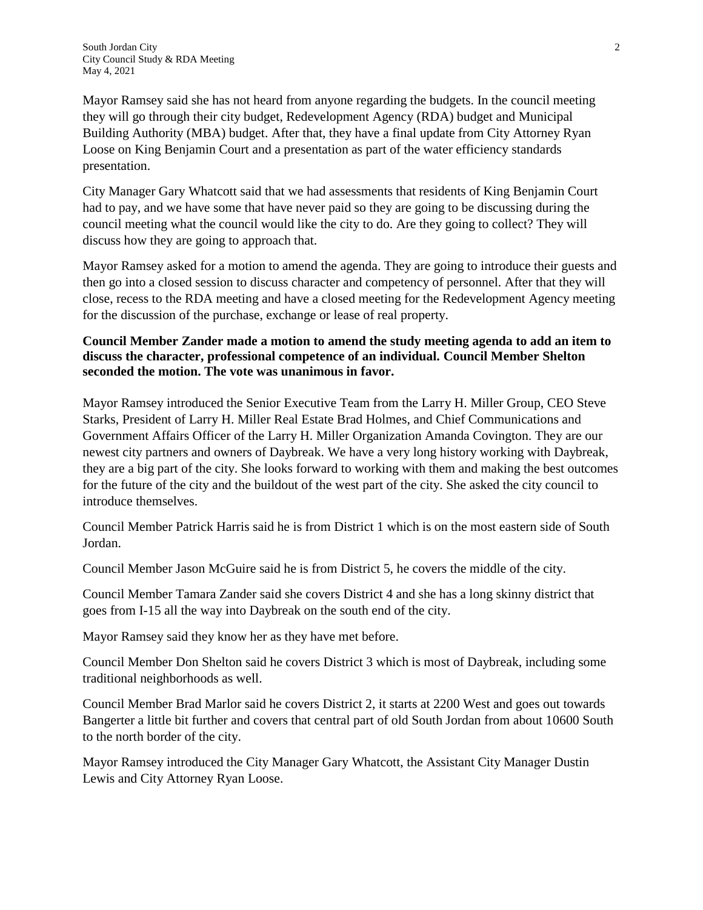Mayor Ramsey said she has not heard from anyone regarding the budgets. In the council meeting they will go through their city budget, Redevelopment Agency (RDA) budget and Municipal Building Authority (MBA) budget. After that, they have a final update from City Attorney Ryan Loose on King Benjamin Court and a presentation as part of the water efficiency standards presentation.

City Manager Gary Whatcott said that we had assessments that residents of King Benjamin Court had to pay, and we have some that have never paid so they are going to be discussing during the council meeting what the council would like the city to do. Are they going to collect? They will discuss how they are going to approach that.

Mayor Ramsey asked for a motion to amend the agenda. They are going to introduce their guests and then go into a closed session to discuss character and competency of personnel. After that they will close, recess to the RDA meeting and have a closed meeting for the Redevelopment Agency meeting for the discussion of the purchase, exchange or lease of real property.

## **Council Member Zander made a motion to amend the study meeting agenda to add an item to discuss the character, professional competence of an individual. Council Member Shelton seconded the motion. The vote was unanimous in favor.**

Mayor Ramsey introduced the Senior Executive Team from the Larry H. Miller Group, CEO Steve Starks, President of Larry H. Miller Real Estate Brad Holmes, and Chief Communications and Government Affairs Officer of the Larry H. Miller Organization Amanda Covington. They are our newest city partners and owners of Daybreak. We have a very long history working with Daybreak, they are a big part of the city. She looks forward to working with them and making the best outcomes for the future of the city and the buildout of the west part of the city. She asked the city council to introduce themselves.

Council Member Patrick Harris said he is from District 1 which is on the most eastern side of South Jordan.

Council Member Jason McGuire said he is from District 5, he covers the middle of the city.

Council Member Tamara Zander said she covers District 4 and she has a long skinny district that goes from I-15 all the way into Daybreak on the south end of the city.

Mayor Ramsey said they know her as they have met before.

Council Member Don Shelton said he covers District 3 which is most of Daybreak, including some traditional neighborhoods as well.

Council Member Brad Marlor said he covers District 2, it starts at 2200 West and goes out towards Bangerter a little bit further and covers that central part of old South Jordan from about 10600 South to the north border of the city.

Mayor Ramsey introduced the City Manager Gary Whatcott, the Assistant City Manager Dustin Lewis and City Attorney Ryan Loose.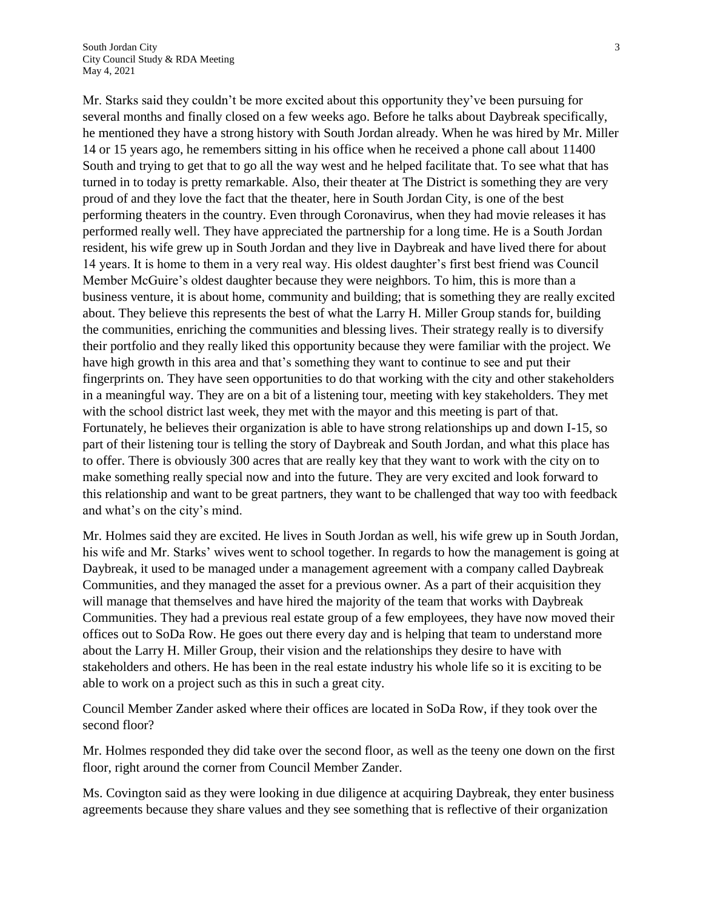Mr. Starks said they couldn't be more excited about this opportunity they've been pursuing for several months and finally closed on a few weeks ago. Before he talks about Daybreak specifically, he mentioned they have a strong history with South Jordan already. When he was hired by Mr. Miller 14 or 15 years ago, he remembers sitting in his office when he received a phone call about 11400 South and trying to get that to go all the way west and he helped facilitate that. To see what that has turned in to today is pretty remarkable. Also, their theater at The District is something they are very proud of and they love the fact that the theater, here in South Jordan City, is one of the best performing theaters in the country. Even through Coronavirus, when they had movie releases it has performed really well. They have appreciated the partnership for a long time. He is a South Jordan resident, his wife grew up in South Jordan and they live in Daybreak and have lived there for about 14 years. It is home to them in a very real way. His oldest daughter's first best friend was Council Member McGuire's oldest daughter because they were neighbors. To him, this is more than a business venture, it is about home, community and building; that is something they are really excited about. They believe this represents the best of what the Larry H. Miller Group stands for, building the communities, enriching the communities and blessing lives. Their strategy really is to diversify their portfolio and they really liked this opportunity because they were familiar with the project. We have high growth in this area and that's something they want to continue to see and put their fingerprints on. They have seen opportunities to do that working with the city and other stakeholders in a meaningful way. They are on a bit of a listening tour, meeting with key stakeholders. They met with the school district last week, they met with the mayor and this meeting is part of that. Fortunately, he believes their organization is able to have strong relationships up and down I-15, so part of their listening tour is telling the story of Daybreak and South Jordan, and what this place has to offer. There is obviously 300 acres that are really key that they want to work with the city on to make something really special now and into the future. They are very excited and look forward to this relationship and want to be great partners, they want to be challenged that way too with feedback and what's on the city's mind.

Mr. Holmes said they are excited. He lives in South Jordan as well, his wife grew up in South Jordan, his wife and Mr. Starks' wives went to school together. In regards to how the management is going at Daybreak, it used to be managed under a management agreement with a company called Daybreak Communities, and they managed the asset for a previous owner. As a part of their acquisition they will manage that themselves and have hired the majority of the team that works with Daybreak Communities. They had a previous real estate group of a few employees, they have now moved their offices out to SoDa Row. He goes out there every day and is helping that team to understand more about the Larry H. Miller Group, their vision and the relationships they desire to have with stakeholders and others. He has been in the real estate industry his whole life so it is exciting to be able to work on a project such as this in such a great city.

Council Member Zander asked where their offices are located in SoDa Row, if they took over the second floor?

Mr. Holmes responded they did take over the second floor, as well as the teeny one down on the first floor, right around the corner from Council Member Zander.

Ms. Covington said as they were looking in due diligence at acquiring Daybreak, they enter business agreements because they share values and they see something that is reflective of their organization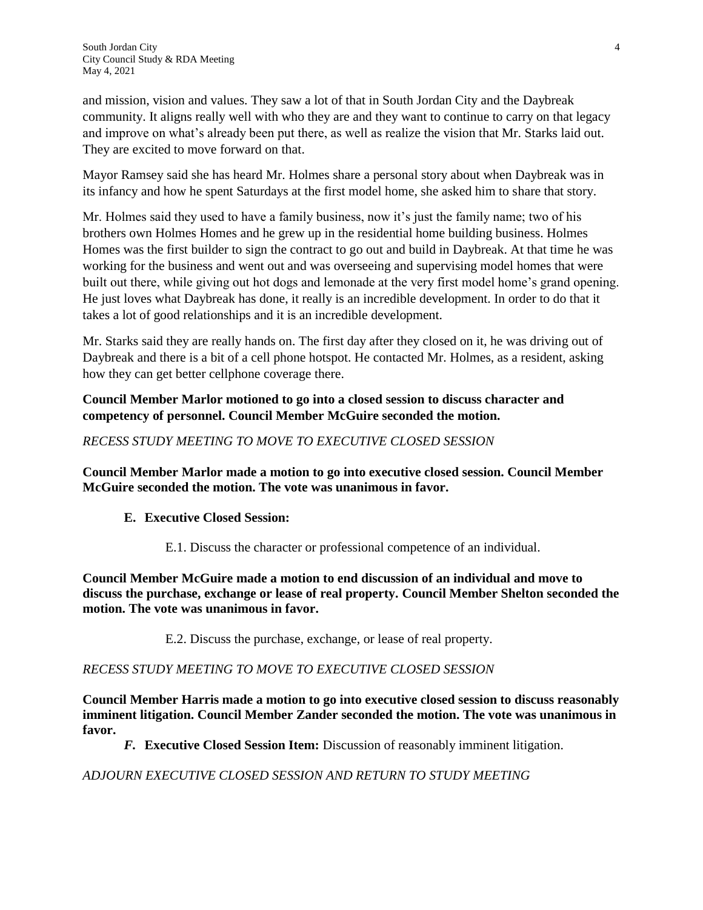and mission, vision and values. They saw a lot of that in South Jordan City and the Daybreak community. It aligns really well with who they are and they want to continue to carry on that legacy and improve on what's already been put there, as well as realize the vision that Mr. Starks laid out. They are excited to move forward on that.

Mayor Ramsey said she has heard Mr. Holmes share a personal story about when Daybreak was in its infancy and how he spent Saturdays at the first model home, she asked him to share that story.

Mr. Holmes said they used to have a family business, now it's just the family name; two of his brothers own Holmes Homes and he grew up in the residential home building business. Holmes Homes was the first builder to sign the contract to go out and build in Daybreak. At that time he was working for the business and went out and was overseeing and supervising model homes that were built out there, while giving out hot dogs and lemonade at the very first model home's grand opening. He just loves what Daybreak has done, it really is an incredible development. In order to do that it takes a lot of good relationships and it is an incredible development.

Mr. Starks said they are really hands on. The first day after they closed on it, he was driving out of Daybreak and there is a bit of a cell phone hotspot. He contacted Mr. Holmes, as a resident, asking how they can get better cellphone coverage there.

## **Council Member Marlor motioned to go into a closed session to discuss character and competency of personnel. Council Member McGuire seconded the motion.**

## *RECESS STUDY MEETING TO MOVE TO EXECUTIVE CLOSED SESSION*

**Council Member Marlor made a motion to go into executive closed session. Council Member McGuire seconded the motion. The vote was unanimous in favor.** 

# **E. Executive Closed Session:**

E.1. Discuss the character or professional competence of an individual.

**Council Member McGuire made a motion to end discussion of an individual and move to discuss the purchase, exchange or lease of real property. Council Member Shelton seconded the motion. The vote was unanimous in favor.** 

E.2. Discuss the purchase, exchange, or lease of real property.

# *RECESS STUDY MEETING TO MOVE TO EXECUTIVE CLOSED SESSION*

**Council Member Harris made a motion to go into executive closed session to discuss reasonably imminent litigation. Council Member Zander seconded the motion. The vote was unanimous in favor.** 

*F.* **Executive Closed Session Item:** Discussion of reasonably imminent litigation.

# *ADJOURN EXECUTIVE CLOSED SESSION AND RETURN TO STUDY MEETING*